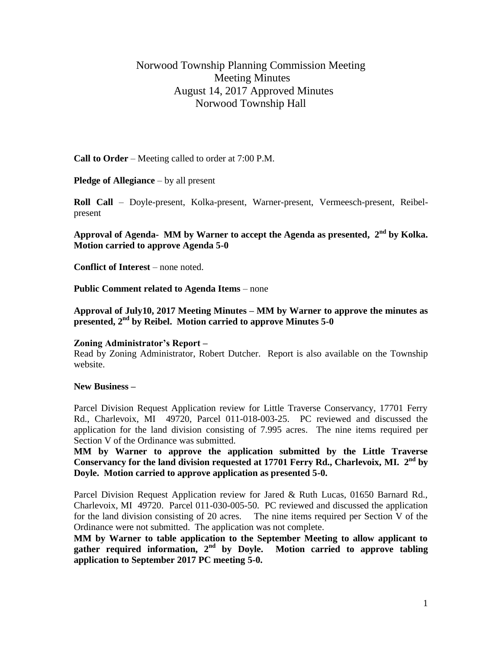# Norwood Township Planning Commission Meeting Meeting Minutes August 14, 2017 Approved Minutes Norwood Township Hall

**Call to Order** – Meeting called to order at 7:00 P.M.

**Pledge of Allegiance** – by all present

**Roll Call** – Doyle-present, Kolka-present, Warner-present, Vermeesch-present, Reibelpresent

**Approval of Agenda- MM by Warner to accept the Agenda as presented, 2 nd by Kolka. Motion carried to approve Agenda 5-0**

**Conflict of Interest** – none noted.

**Public Comment related to Agenda Items** – none

**Approval of July10, 2017 Meeting Minutes – MM by Warner to approve the minutes as presented, 2nd by Reibel. Motion carried to approve Minutes 5-0**

#### **Zoning Administrator's Report –**

Read by Zoning Administrator, Robert Dutcher. Report is also available on the Township website.

#### **New Business –**

Parcel Division Request Application review for Little Traverse Conservancy, 17701 Ferry Rd., Charlevoix, MI 49720, Parcel 011-018-003-25. PC reviewed and discussed the application for the land division consisting of 7.995 acres. The nine items required per Section V of the Ordinance was submitted.

**MM by Warner to approve the application submitted by the Little Traverse Conservancy for the land division requested at 17701 Ferry Rd., Charlevoix, MI. 2nd by Doyle. Motion carried to approve application as presented 5-0.**

Parcel Division Request Application review for Jared & Ruth Lucas, 01650 Barnard Rd., Charlevoix, MI 49720. Parcel 011-030-005-50. PC reviewed and discussed the application for the land division consisting of 20 acres. The nine items required per Section V of the Ordinance were not submitted. The application was not complete.

**MM by Warner to table application to the September Meeting to allow applicant to gather required information, 2nd by Doyle. Motion carried to approve tabling application to September 2017 PC meeting 5-0.**